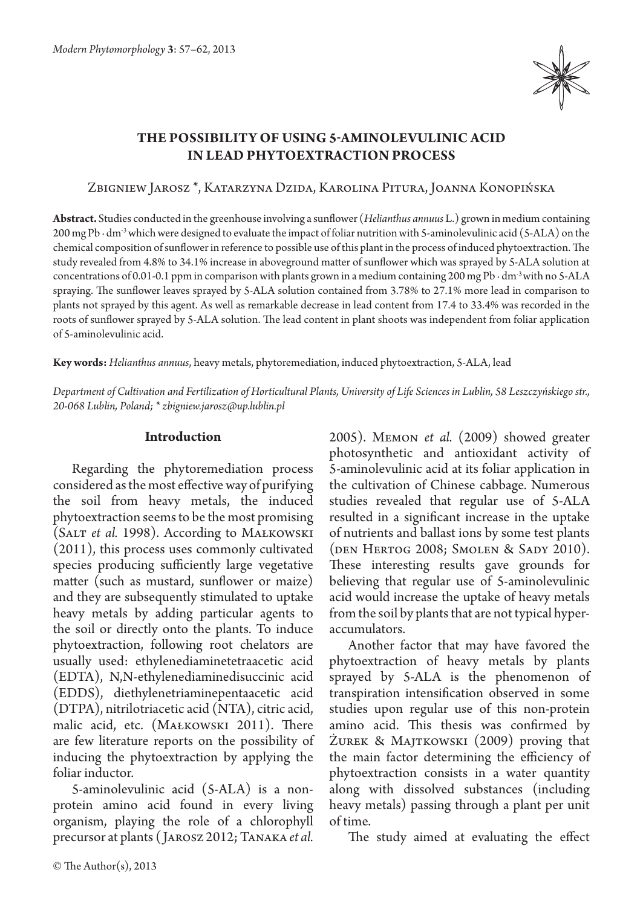

# **The possibility of using 5-aminolevulinic acid in lead phytoextraction process**

## Zbigniew Jarosz \*, Katarzyna Dzida, Karolina Pitura, Joanna Konopińska

**Abstract.** Studies conducted in the greenhouse involving a sunflower (*Helianthus annuus* L.) grown in medium containing 200 mg Pb ∙ dm-3 which were designed to evaluate the impact of foliar nutrition with 5-aminolevulinic acid (5-ALA) on the chemical composition of sunflower in reference to possible use of this plant in the process of induced phytoextraction. The study revealed from 4.8% to 34.1% increase in aboveground matter of sunflower which was sprayed by 5-ALA solution at concentrations of 0.01-0.1 ppm in comparison with plants grown in a medium containing 200 mg Pb ∙ dm-3 with no 5-ALA spraying. The sunflower leaves sprayed by 5-ALA solution contained from 3.78% to 27.1% more lead in comparison to plants not sprayed by this agent. As well as remarkable decrease in lead content from 17.4 to 33.4% was recorded in the roots of sunflower sprayed by 5-ALA solution. The lead content in plant shoots was independent from foliar application of 5-aminolevulinic acid.

**Key words:** *Helianthus annuus*, heavy metals, phytoremediation, induced phytoextraction, 5-ALA, lead

*Department of Cultivation and Fertilization of Horticultural Plants, University of Life Sciences in Lublin, 58 Leszczyńskiego str., 20-068 Lublin, Poland; \* zbigniew.jarosz@up.lublin.pl*

# **Introduction**

Regarding the phytoremediation process considered as the most effective way of purifying the soil from heavy metals, the induced phytoextraction seems to be the most promising (Salt *et al.* 1998). According to Małkowski (2011), this process uses commonly cultivated species producing sufficiently large vegetative matter (such as mustard, sunflower or maize) and they are subsequently stimulated to uptake heavy metals by adding particular agents to the soil or directly onto the plants. To induce phytoextraction, following root chelators are usually used: ethylenediaminetetraacetic acid (EDTA), N,N-ethylenediaminedisuccinic acid (EDDS), diethylenetriaminepentaacetic acid (DTPA), nitrilotriacetic acid (NTA), citric acid, malic acid, etc. (Małkowski 2011). There are few literature reports on the possibility of inducing the phytoextraction by applying the foliar inductor.

5-aminolevulinic acid (5-ALA) is a nonprotein amino acid found in every living organism, playing the role of a chlorophyll precursor at plants ( Jarosz 2012; Tanaka *et al.* 

2005). Memon *et al.* (2009) showed greater photosynthetic and antioxidant activity of 5-aminolevulinic acid at its foliar application in the cultivation of Chinese cabbage. Numerous studies revealed that regular use of 5-ALA resulted in a significant increase in the uptake of nutrients and ballast ions by some test plants (den Hertog 2008; Smolen & Sady 2010). These interesting results gave grounds for believing that regular use of 5-aminolevulinic acid would increase the uptake of heavy metals from the soil by plants that are not typical hyperaccumulators.

Another factor that may have favored the phytoextraction of heavy metals by plants sprayed by 5-ALA is the phenomenon of transpiration intensification observed in some studies upon regular use of this non-protein amino acid. This thesis was confirmed by Żurek & Majtkowski (2009) proving that the main factor determining the efficiency of phytoextraction consists in a water quantity along with dissolved substances (including heavy metals) passing through a plant per unit of time.

The study aimed at evaluating the effect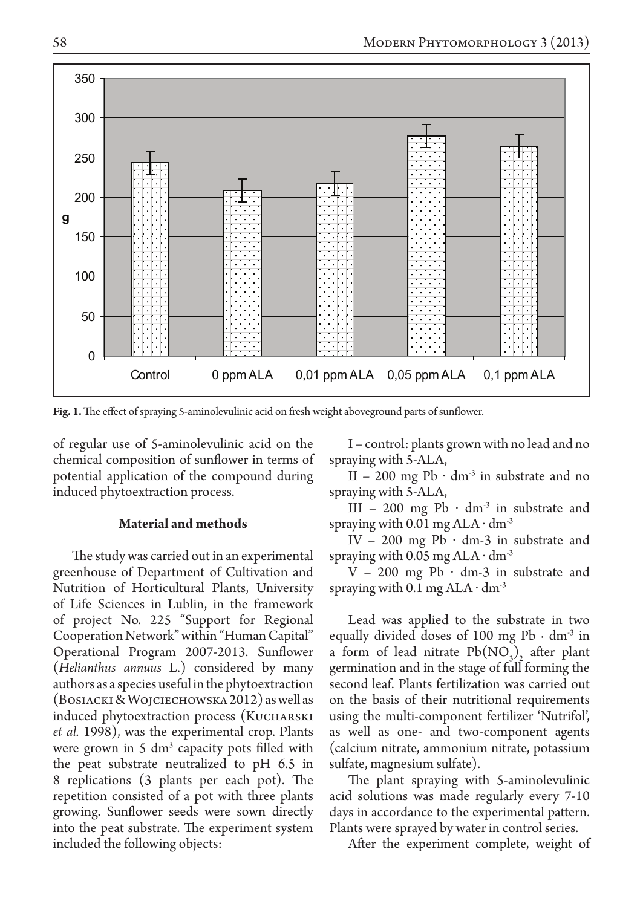

**Fig. 1.** The effect of spraying 5-aminolevulinic acid on fresh weight aboveground parts of sunflower.

of regular use of 5-aminolevulinic acid on the chemical composition of sunflower in terms of potential application of the compound during induced phytoextraction process.

## **Material and methods**

The study was carried out in an experimental greenhouse of Department of Cultivation and Nutrition of Horticultural Plants, University of Life Sciences in Lublin, in the framework of project No. 225 "Support for Regional Cooperation Network" within "Human Capital" Operational Program 2007-2013. Sunflower (*Helianthus annuus* L.) considered by many authors as a species useful in the phytoextraction (Bosiacki & Wojciechowska 2012) as well as induced phytoextraction process (KUCHARSKI) *et al.* 1998), was the experimental crop. Plants were grown in 5 dm<sup>3</sup> capacity pots filled with the peat substrate neutralized to pH 6.5 in 8 replications (3 plants per each pot). The repetition consisted of a pot with three plants growing. Sunflower seeds were sown directly into the peat substrate. The experiment system included the following objects:

I – control: plants grown with no lead and no spraying with 5-ALA,

II – 200 mg Pb  $\cdot$  dm<sup>-3</sup> in substrate and no spraying with 5-ALA,

III – 200 mg Pb  $\cdot$  dm<sup>-3</sup> in substrate and spraying with  $0.01$  mg ALA  $\cdot$  dm<sup>-3</sup>

IV – 200 mg Pb  $\cdot$  dm-3 in substrate and spraying with  $0.05$  mg ALA  $\cdot$  dm<sup>-3</sup>

 $V - 200$  mg Pb  $\cdot$  dm-3 in substrate and spraying with 0.1 mg ALA  $\cdot$  dm<sup>-3</sup>

Lead was applied to the substrate in two equally divided doses of 100 mg Pb  $\cdot$  dm<sup>-3</sup> in a form of lead nitrate  $Pb(NO<sub>3</sub>)$  after plant germination and in the stage of full forming the second leaf. Plants fertilization was carried out on the basis of their nutritional requirements using the multi-component fertilizer 'Nutrifol', as well as one- and two-component agents (calcium nitrate, ammonium nitrate, potassium sulfate, magnesium sulfate).

The plant spraying with 5-aminolevulinic acid solutions was made regularly every 7-10 days in accordance to the experimental pattern. Plants were sprayed by water in control series.

After the experiment complete, weight of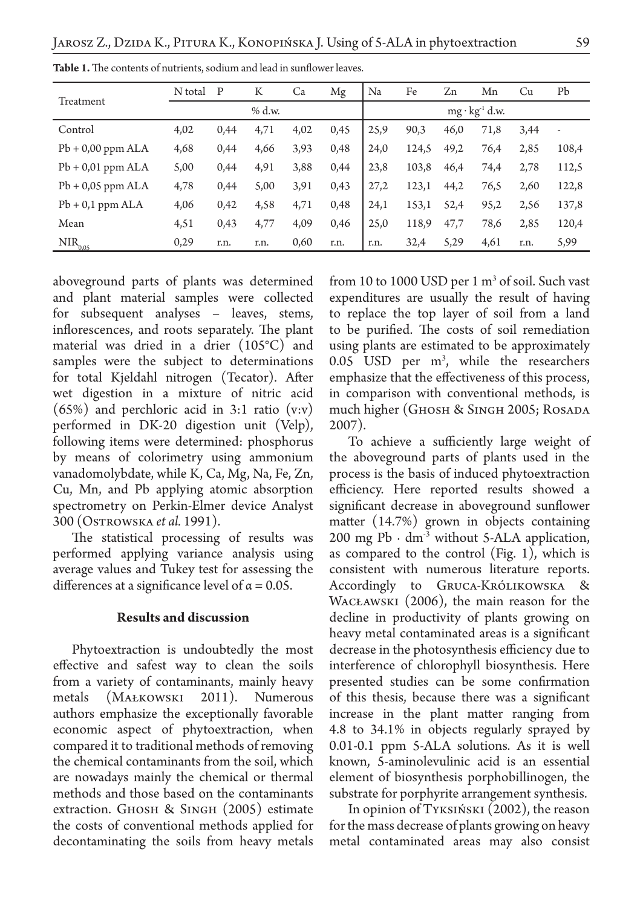|                     | N total | P    | K    | Ca   | Mg   | Na   | Fe                      | Zn   | Mn   | Cu   | Pb    |  |
|---------------------|---------|------|------|------|------|------|-------------------------|------|------|------|-------|--|
| Treatment           | % d.w.  |      |      |      |      |      | $mg \cdot kg^{-1} d.w.$ |      |      |      |       |  |
| Control             | 4,02    | 0,44 | 4,71 | 4,02 | 0.45 | 25,9 | 90,3                    | 46,0 | 71,8 | 3.44 |       |  |
| $Pb + 0.00$ ppm ALA | 4,68    | 0,44 | 4,66 | 3,93 | 0,48 | 24,0 | 124,5                   | 49,2 | 76,4 | 2,85 | 108,4 |  |
| $Pb + 0.01$ ppm ALA | 5,00    | 0,44 | 4,91 | 3,88 | 0,44 | 23,8 | 103,8                   | 46,4 | 74,4 | 2,78 | 112,5 |  |
| $Pb + 0.05$ ppm ALA | 4,78    | 0,44 | 5,00 | 3,91 | 0.43 | 27,2 | 123,1                   | 44,2 | 76,5 | 2,60 | 122,8 |  |
| $Pb + 0.1$ ppm ALA  | 4,06    | 0,42 | 4,58 | 4,71 | 0,48 | 24,1 | 153,1                   | 52,4 | 95,2 | 2,56 | 137,8 |  |
| Mean                | 4,51    | 0,43 | 4,77 | 4,09 | 0,46 | 25,0 | 118,9                   | 47,7 | 78,6 | 2,85 | 120,4 |  |
| $NIR_{0.05}$        | 0,29    | r.n. | r.n. | 0,60 | r.n. | r.n. | 32,4                    | 5,29 | 4,61 | r.n. | 5,99  |  |

**Table 1.** The contents of nutrients, sodium and lead in sunflower leaves.

aboveground parts of plants was determined and plant material samples were collected for subsequent analyses – leaves, stems, inflorescences, and roots separately. The plant material was dried in a drier (105°C) and samples were the subject to determinations for total Kjeldahl nitrogen (Tecator). After wet digestion in a mixture of nitric acid (65%) and perchloric acid in 3:1 ratio (v:v) performed in DK-20 digestion unit (Velp), following items were determined: phosphorus by means of colorimetry using ammonium vanadomolybdate, while K, Ca, Mg, Na, Fe, Zn, Cu, Mn, and Pb applying atomic absorption spectrometry on Perkin-Elmer device Analyst 300 (Ostrowska *et al.* 1991).

The statistical processing of results was performed applying variance analysis using average values and Tukey test for assessing the differences at a significance level of  $\alpha = 0.05$ .

# **Results and discussion**

Phytoextraction is undoubtedly the most effective and safest way to clean the soils from a variety of contaminants, mainly heavy metals (Małkowski 2011). Numerous authors emphasize the exceptionally favorable economic aspect of phytoextraction, when compared it to traditional methods of removing the chemical contaminants from the soil, which are nowadays mainly the chemical or thermal methods and those based on the contaminants extraction. Ghosh & Singh (2005) estimate the costs of conventional methods applied for decontaminating the soils from heavy metals

from 10 to 1000 USD per 1  $\mathrm{m}^3$  of soil. Such vast expenditures are usually the result of having to replace the top layer of soil from a land to be purified. The costs of soil remediation using plants are estimated to be approximately  $0.05$  USD per  $m^3$ , while the researchers emphasize that the effectiveness of this process, in comparison with conventional methods, is much higher (Gноѕн & Sі́NGH 2005; Rosаdа 2007).

To achieve a sufficiently large weight of the aboveground parts of plants used in the process is the basis of induced phytoextraction efficiency. Here reported results showed a significant decrease in aboveground sunflower matter (14.7%) grown in objects containing 200 mg Pb ⋅  $dm^{-3}$  without 5-ALA application, as compared to the control (Fig. 1), which is consistent with numerous literature reports. Accordingly to Gruca-Królikowska & Wacławski (2006), the main reason for the decline in productivity of plants growing on heavy metal contaminated areas is a significant decrease in the photosynthesis efficiency due to interference of chlorophyll biosynthesis. Here presented studies can be some confirmation of this thesis, because there was a significant increase in the plant matter ranging from 4.8 to 34.1% in objects regularly sprayed by 0.01-0.1 ppm 5-ALA solutions. As it is well known, 5-aminolevulinic acid is an essential element of biosynthesis porphobillinogen, the substrate for porphyrite arrangement synthesis.

In opinion of Tyksiński (2002), the reason for the mass decrease of plants growing on heavy metal contaminated areas may also consist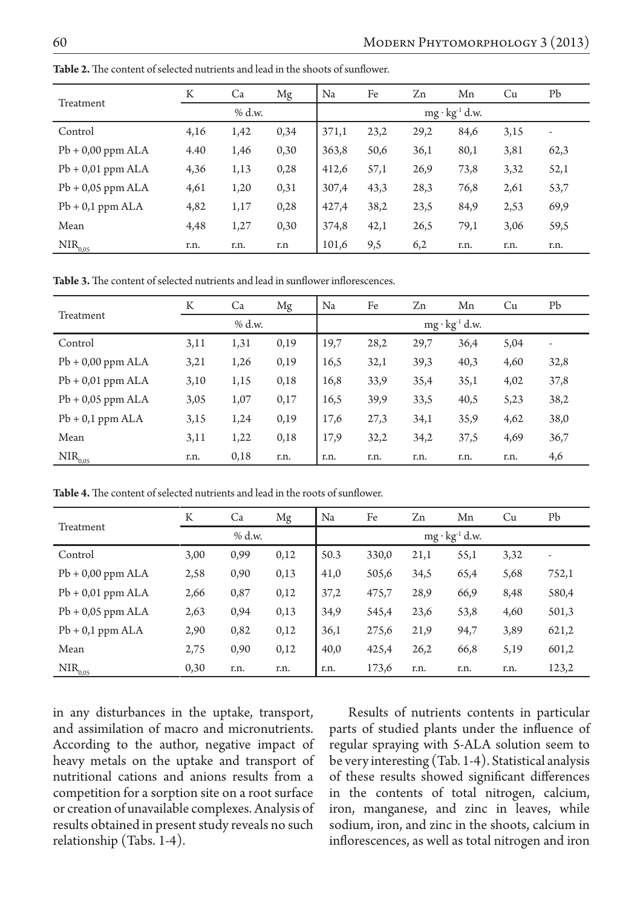|                      | K    | Ca       | Mg   | Na    | Fe   | Zn   | Mn                      | Cu                                                   | Pb                       |
|----------------------|------|----------|------|-------|------|------|-------------------------|------------------------------------------------------|--------------------------|
| Treatment            |      | $%$ d.w. |      |       |      |      | $mg \cdot kg^{-1} d.w.$ | 3,15<br>3,81<br>3,32<br>2,61<br>2,53<br>3,06<br>r.n. |                          |
| Control              | 4,16 | 1,42     | 0,34 | 371,1 | 23,2 | 29,2 | 84,6                    |                                                      | $\overline{\phantom{a}}$ |
| $Pb + 0.00$ ppm ALA  | 4.40 | 1,46     | 0,30 | 363,8 | 50,6 | 36,1 | 80,1                    |                                                      | 62,3                     |
| $Pb + 0.01$ ppm ALA  | 4,36 | 1,13     | 0,28 | 412,6 | 57,1 | 26,9 | 73,8                    |                                                      | 52,1                     |
| $Pb + 0.05$ ppm ALA  | 4,61 | 1,20     | 0,31 | 307,4 | 43,3 | 28,3 | 76,8                    |                                                      | 53,7                     |
| $Pb + 0,1$ ppm $ALA$ | 4,82 | 1,17     | 0,28 | 427,4 | 38,2 | 23,5 | 84,9                    |                                                      | 69,9                     |
| Mean                 | 4,48 | 1,27     | 0,30 | 374,8 | 42,1 | 26,5 | 79,1                    |                                                      | 59,5                     |
| $NIR_{0,05}$         | r.n. | r.n.     | r.n  | 101,6 | 9,5  | 6,2  | r.n.                    |                                                      | r.n.                     |

**Table 2.** The content of selected nutrients and lead in the shoots of sunflower.

**Table 3.** The content of selected nutrients and lead in sunflower inflorescences.

|                     | K    | Ca       | Mg   | Na   | Fe   | Zn                      | Mn   | Cu                                                   | Pb                       |
|---------------------|------|----------|------|------|------|-------------------------|------|------------------------------------------------------|--------------------------|
| Treatment           |      | $%$ d.w. |      |      |      | $mg \cdot kg^{-1} d.w.$ |      | 5,04<br>4,60<br>4,02<br>5,23<br>4,62<br>4,69<br>r.n. |                          |
| Control             | 3,11 | 1,31     | 0,19 | 19,7 | 28,2 | 29,7                    | 36,4 |                                                      | $\overline{\phantom{a}}$ |
| $Pb + 0.00$ ppm ALA | 3,21 | 1,26     | 0,19 | 16,5 | 32,1 | 39,3                    | 40,3 |                                                      | 32,8                     |
| $Pb + 0.01$ ppm ALA | 3,10 | 1,15     | 0,18 | 16,8 | 33,9 | 35,4                    | 35,1 |                                                      | 37,8                     |
| $Pb + 0.05$ ppm ALA | 3,05 | 1,07     | 0,17 | 16,5 | 39,9 | 33,5                    | 40,5 |                                                      | 38,2                     |
| $Pb + 0,1$ ppm ALA  | 3,15 | 1,24     | 0,19 | 17,6 | 27,3 | 34,1                    | 35,9 |                                                      | 38,0                     |
| Mean                | 3,11 | 1,22     | 0,18 | 17,9 | 32,2 | 34,2                    | 37,5 |                                                      | 36,7                     |
| $NIR_{0.05}$        | r.n. | 0,18     | r.n. | r.n. | r.n. | r.n.                    | r.n. |                                                      | 4,6                      |

**Table 4.** The content of selected nutrients and lead in the roots of sunflower.

|                      | K    | Ca     | Mg   | Na   | Fe    | Zn   | Mn                      | Cu   | Pb    |
|----------------------|------|--------|------|------|-------|------|-------------------------|------|-------|
| Treatment            |      | % d.w. |      |      |       |      | $mg \cdot kg^{-1} d.w.$ |      |       |
| Control              | 3,00 | 0,99   | 0,12 | 50.3 | 330,0 | 21,1 | 55,1                    | 3,32 |       |
| $Pb + 0.00$ ppm ALA  | 2,58 | 0,90   | 0,13 | 41,0 | 505,6 | 34,5 | 65,4                    | 5,68 | 752,1 |
| $Pb + 0.01$ ppm ALA  | 2,66 | 0,87   | 0,12 | 37,2 | 475,7 | 28,9 | 66,9                    | 8,48 | 580,4 |
| $Pb + 0.05$ ppm ALA  | 2,63 | 0,94   | 0,13 | 34,9 | 545,4 | 23,6 | 53,8                    | 4,60 | 501,3 |
| $Pb + 0.1$ ppm $ALA$ | 2,90 | 0,82   | 0,12 | 36,1 | 275,6 | 21,9 | 94,7                    | 3,89 | 621,2 |
| Mean                 | 2,75 | 0,90   | 0,12 | 40,0 | 425,4 | 26,2 | 66,8                    | 5,19 | 601,2 |
| $NIR_{0.05}$         | 0,30 | r.n.   | r.n. | r.n. | 173,6 | r.n. | r.n.                    | r.n. | 123,2 |

in any disturbances in the uptake, transport, and assimilation of macro and micronutrients. According to the author, negative impact of heavy metals on the uptake and transport of nutritional cations and anions results from a competition for a sorption site on a root surface or creation of unavailable complexes. Analysis of results obtained in present study reveals no such relationship (Tabs. 1-4).

Results of nutrients contents in particular parts of studied plants under the influence of regular spraying with 5-ALA solution seem to be very interesting (Tab. 1-4). Statistical analysis of these results showed significant differences in the contents of total nitrogen, calcium, iron, manganese, and zinc in leaves, while sodium, iron, and zinc in the shoots, calcium in inflorescences, as well as total nitrogen and iron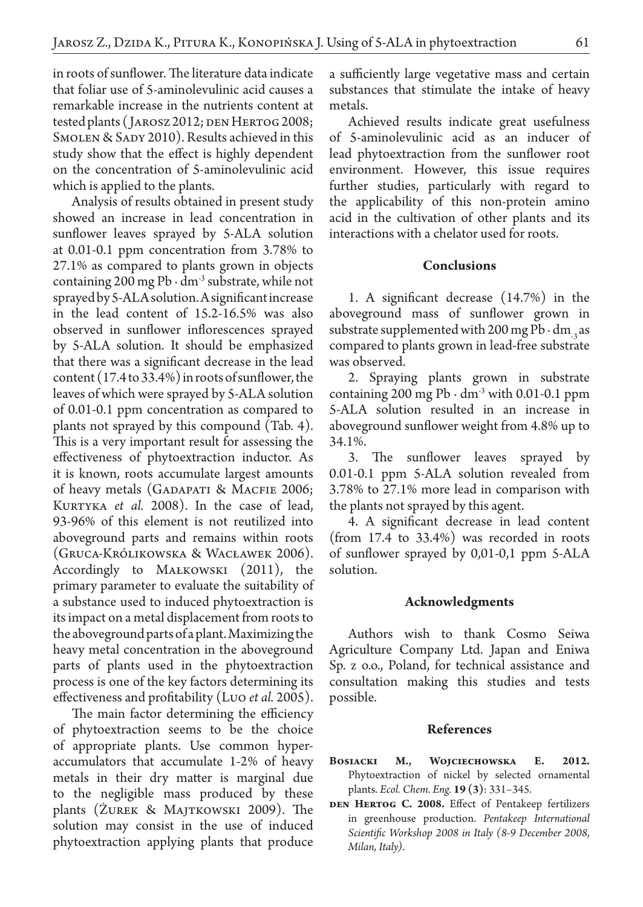in roots of sunflower. The literature data indicate that foliar use of 5-aminolevulinic acid causes a remarkable increase in the nutrients content at tested plants (JAROSZ 2012; DEN HERTOG 2008; SMOLEN & SADY 2010). Results achieved in this study show that the effect is highly dependent on the concentration of 5-aminolevulinic acid which is applied to the plants.

Analysis of results obtained in present study showed an increase in lead concentration in sunflower leaves sprayed by 5-ALA solution at 0.01-0.1 ppm concentration from 3.78% to 27.1% as compared to plants grown in objects containing 200 mg Pb ∙ dm-3 substrate, while not sprayed by 5-ALA solution. A significant increase in the lead content of 15.2-16.5% was also observed in sunflower inflorescences sprayed by 5-ALA solution. It should be emphasized that there was a significant decrease in the lead content (17.4 to 33.4%) in roots of sunflower, the leaves of which were sprayed by 5-ALA solution of 0.01-0.1 ppm concentration as compared to plants not sprayed by this compound (Tab. 4). This is a very important result for assessing the effectiveness of phytoextraction inductor. As it is known, roots accumulate largest amounts of heavy metals (GADAPATI & MACFIE 2006; KURTYKA *et al.* 2008). In the case of lead, 93-96% of this element is not reutilized into aboveground parts and remains within roots (Gruca-Królikowska & Wacławek 2006). Accordingly to MAŁKOWSKI (2011), the primary parameter to evaluate the suitability of a substance used to induced phytoextraction is its impact on a metal displacement from roots to the aboveground parts of a plant. Maximizing the heavy metal concentration in the aboveground parts of plants used in the phytoextraction process is one of the key factors determining its effectiveness and profitability (Luo *et al.* 2005).

The main factor determining the efficiency of phytoextraction seems to be the choice of appropriate plants. Use common hyperaccumulators that accumulate 1-2% of heavy metals in their dry matter is marginal due to the negligible mass produced by these plants (Żurek & Majtkowski 2009). The solution may consist in the use of induced phytoextraction applying plants that produce

a sufficiently large vegetative mass and certain substances that stimulate the intake of heavy metals.

Achieved results indicate great usefulness of 5-aminolevulinic acid as an inducer of lead phytoextraction from the sunflower root environment. However, this issue requires further studies, particularly with regard to the applicability of this non-protein amino acid in the cultivation of other plants and its interactions with a chelator used for roots.

### **Conclusions**

1. A significant decrease (14.7%) in the aboveground mass of sunflower grown in substrate supplemented with 200 mg Pb ⋅ dm  $\alpha$  as compared to plants grown in lead-free substrate was observed.

2. Spraying plants grown in substrate containing 200 mg Pb ⋅ dm<sup>-3</sup> with 0.01-0.1 ppm 5-ALA solution resulted in an increase in aboveground sunflower weight from 4.8% up to 34.1%.

3. The sunflower leaves sprayed by 0.01-0.1 ppm 5-ALA solution revealed from 3.78% to 27.1% more lead in comparison with the plants not sprayed by this agent.

4. A significant decrease in lead content (from 17.4 to 33.4%) was recorded in roots of sunflower sprayed by 0,01-0,1 ppm 5-ALA solution.

### **Acknowledgments**

Authors wish to thank Cosmo Seiwa Agriculture Company Ltd. Japan and Eniwa Sp. z o.o., Poland, for technical assistance and consultation making this studies and tests possible.

# **References**

- BOSIACKI M., WOJCIECHOWSKA E. 2012. Phytoextraction of nickel by selected ornamental plants. *Ecol. Chem. Eng.* **19 (3)**: 331–345.
- DEN HERTOG C. 2008. Effect of Pentakeep fertilizers in greenhouse production. *Pentakeep International Scientific Workshop 2008 in Italy (8-9 December 2008, Milan, Italy)*.